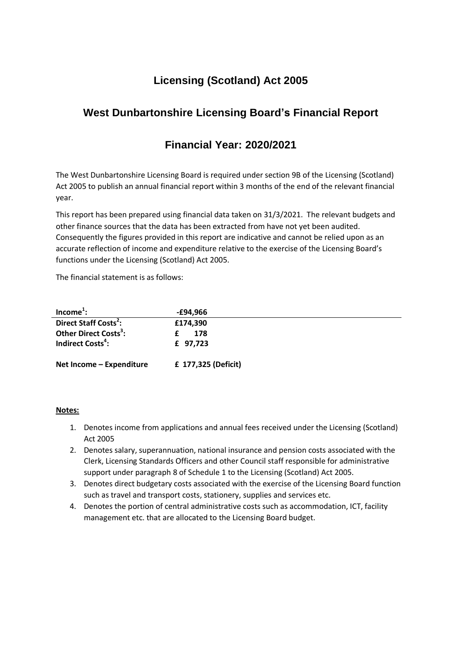# **Licensing (Scotland) Act 2005**

# **West Dunbartonshire Licensing Board's Financial Report**

## **Financial Year: 2020/2021**

The West Dunbartonshire Licensing Board is required under section 9B of the Licensing (Scotland) Act 2005 to publish an annual financial report within 3 months of the end of the relevant financial year.

This report has been prepared using financial data taken on 31/3/2021. The relevant budgets and other finance sources that the data has been extracted from have not yet been audited. Consequently the figures provided in this report are indicative and cannot be relied upon as an accurate reflection of income and expenditure relative to the exercise of the Licensing Board's functions under the Licensing (Scotland) Act 2005.

The financial statement is as follows:

| Income <sup>1</sup> :             | -£94,966            |
|-----------------------------------|---------------------|
| Direct Staff Costs <sup>2</sup> : | £174,390            |
| Other Direct Costs <sup>3</sup> : | 178                 |
| Indirect Costs <sup>4</sup> :     | £ 97,723            |
| Net Income - Expenditure          | £ 177,325 (Deficit) |

### **Notes:**

- 1. Denotes income from applications and annual fees received under the Licensing (Scotland) Act 2005
- 2. Denotes salary, superannuation, national insurance and pension costs associated with the Clerk, Licensing Standards Officers and other Council staff responsible for administrative support under paragraph 8 of Schedule 1 to the Licensing (Scotland) Act 2005.
- 3. Denotes direct budgetary costs associated with the exercise of the Licensing Board function such as travel and transport costs, stationery, supplies and services etc.
- 4. Denotes the portion of central administrative costs such as accommodation, ICT, facility management etc. that are allocated to the Licensing Board budget.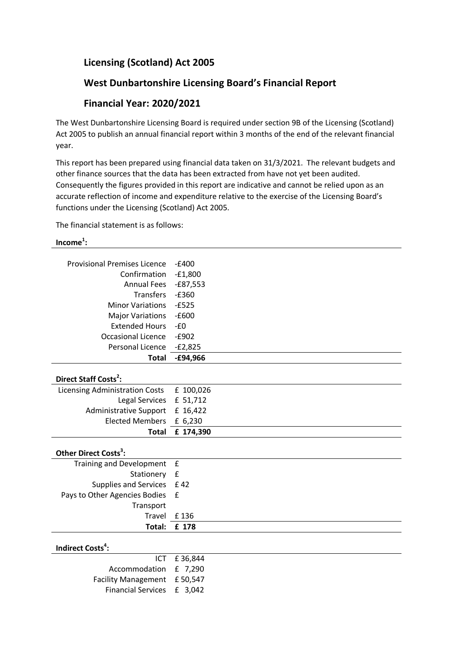## **Licensing (Scotland) Act 2005**

### **West Dunbartonshire Licensing Board's Financial Report**

### **Financial Year: 2020/2021**

The West Dunbartonshire Licensing Board is required under section 9B of the Licensing (Scotland) Act 2005 to publish an annual financial report within 3 months of the end of the relevant financial year.

This report has been prepared using financial data taken on 31/3/2021. The relevant budgets and other finance sources that the data has been extracted from have not yet been audited. Consequently the figures provided in this report are indicative and cannot be relied upon as an accurate reflection of income and expenditure relative to the exercise of the Licensing Board's functions under the Licensing (Scotland) Act 2005.

The financial statement is as follows:

### **Income<sup>1</sup> :**

| <b>Provisional Premises Licence</b>   | $-£400$            |
|---------------------------------------|--------------------|
| Confirmation                          | $-£1,800$          |
| <b>Annual Fees</b>                    | $-£87,553$         |
| <b>Transfers</b>                      | $-£360$            |
| <b>Minor Variations</b>               | $-E525$            |
| <b>Major Variations</b>               | $-£600$            |
| <b>Extended Hours</b>                 | $-E0$              |
| <b>Occasional Licence</b>             | $-£902$            |
| Personal Licence                      | $-E2,825$          |
| <b>Total</b>                          | $-£94,966$         |
|                                       |                    |
| Direct Staff Costs <sup>2</sup> :     |                    |
| <b>Licensing Administration Costs</b> | £ 100,026          |
| Legal Services                        | £ 51,712           |
| <b>Administrative Support</b>         | £ 16,422           |
| <b>Elected Members</b>                | £ 6,230            |
| <b>Total</b>                          | £ 174,390          |
|                                       |                    |
| Other Direct Costs <sup>3</sup> :     |                    |
| <b>Training and Development</b>       | £                  |
| Stationery                            | $\pmb{\mathsf{f}}$ |
| <b>Supplies and Services</b>          | £42                |
| Pays to Other Agencies Bodies         | £                  |
| Transport                             |                    |
| Travel                                | £136               |
| Total:                                | £ 178              |
|                                       |                    |
| Indirect Costs <sup>4</sup> :         |                    |
|                                       | ICT £36.844        |

|                             | ICT £36,844 |
|-----------------------------|-------------|
| Accommodation £ 7,290       |             |
| Facility Management £50,547 |             |
| Financial Services £ 3.042  |             |